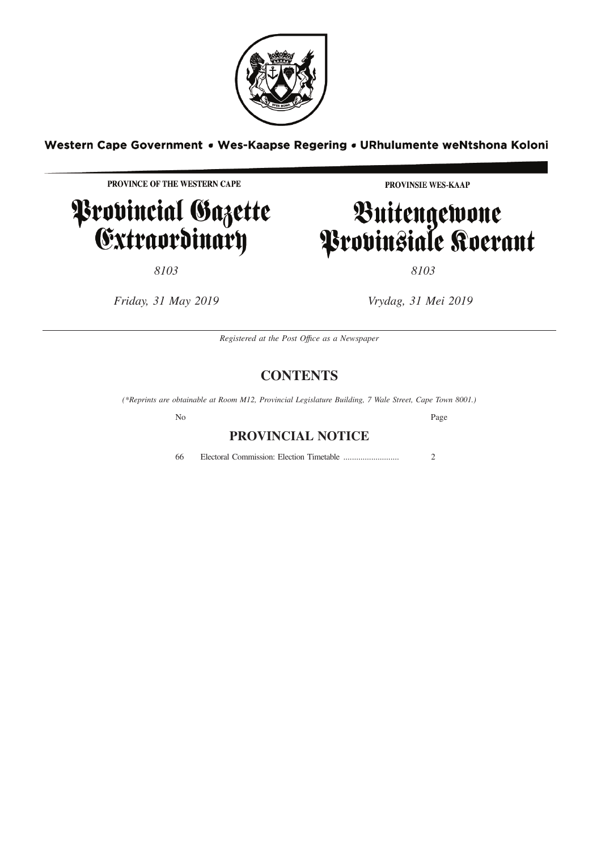

## Western Cape Government . Wes-Kaapse Regering . URhulumente weNtshona Koloni

PROVINCE OF THE WESTERN CAPE

## Provincial Gazette<br>Extraordinary

PROVINSIE WES-KAAP

# Buitengewone<br>Provinsiale Koerant

*8103 8103*

*Friday, 31 May 2019 Vrydag, 31 Mei 2019*

*Registered at the Post Offıce as a Newspaper*

## **CONTENTS**

*(\*Reprints are obtainable at Room M12, Provincial Legislature Building, 7 Wale Street, Cape Town 8001.)*

## **PROVINCIAL NOTICE**

66 Electoral Commission: Election Timetable .......................... 2

No Page Page 2014 and 2016 and 2017 and 2018 and 2018 and 2018 and 2018 and 2019 and 2018 and 2019 and 2019 and 2019 and 2019 and 2019 and 2019 and 2019 and 2019 and 2019 and 2019 and 2019 and 2019 and 2019 and 2019 and 20